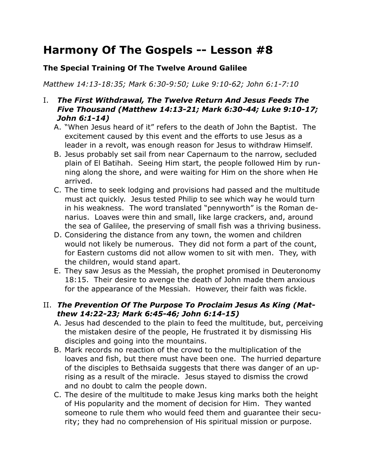# **Harmony Of The Gospels -- Lesson #8**

## **The Special Training Of The Twelve Around Galilee**

*Matthew 14:13-18:35; Mark 6:30-9:50; Luke 9:10-62; John 6:1-7:10*

## I. *The First Withdrawal, The Twelve Return And Jesus Feeds The Five Thousand (Matthew 14:13-21; Mark 6:30-44; Luke 9:10-17; John 6:1-14)*

- A. "When Jesus heard of it" refers to the death of John the Baptist. The excitement caused by this event and the efforts to use Jesus as a leader in a revolt, was enough reason for Jesus to withdraw Himself.
- B. Jesus probably set sail from near Capernaum to the narrow, secluded plain of El Batihah. Seeing Him start, the people followed Him by running along the shore, and were waiting for Him on the shore when He arrived.
- C. The time to seek lodging and provisions had passed and the multitude must act quickly. Jesus tested Philip to see which way he would turn in his weakness. The word translated "pennyworth" is the Roman denarius. Loaves were thin and small, like large crackers, and, around the sea of Galilee, the preserving of small fish was a thriving business.
- D. Considering the distance from any town, the women and children would not likely be numerous. They did not form a part of the count, for Eastern customs did not allow women to sit with men. They, with the children, would stand apart.
- E. They saw Jesus as the Messiah, the prophet promised in Deuteronomy 18:15. Their desire to avenge the death of John made them anxious for the appearance of the Messiah. However, their faith was fickle.

# II. *The Prevention Of The Purpose To Proclaim Jesus As King (Matthew 14:22-23; Mark 6:45-46; John 6:14-15)*

- A. Jesus had descended to the plain to feed the multitude, but, perceiving the mistaken desire of the people, He frustrated it by dismissing His disciples and going into the mountains.
- B. Mark records no reaction of the crowd to the multiplication of the loaves and fish, but there must have been one. The hurried departure of the disciples to Bethsaida suggests that there was danger of an uprising as a result of the miracle. Jesus stayed to dismiss the crowd and no doubt to calm the people down.
- C. The desire of the multitude to make Jesus king marks both the height of His popularity and the moment of decision for Him. They wanted someone to rule them who would feed them and guarantee their security; they had no comprehension of His spiritual mission or purpose.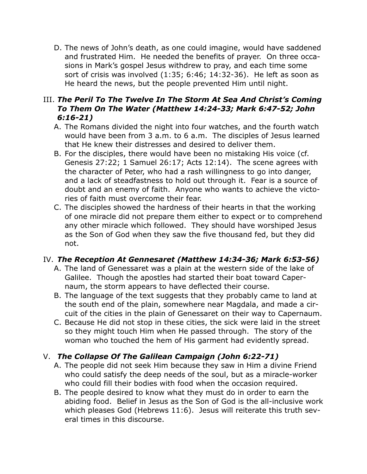D. The news of John's death, as one could imagine, would have saddened and frustrated Him. He needed the benefits of prayer. On three occasions in Mark's gospel Jesus withdrew to pray, and each time some sort of crisis was involved (1:35; 6:46; 14:32-36). He left as soon as He heard the news, but the people prevented Him until night.

# III. *The Peril To The Twelve In The Storm At Sea And Christ's Coming To Them On The Water (Matthew 14:24-33; Mark 6:47-52; John 6:16-21)*

- A. The Romans divided the night into four watches, and the fourth watch would have been from 3 a.m. to 6 a.m. The disciples of Jesus learned that He knew their distresses and desired to deliver them.
- B. For the disciples, there would have been no mistaking His voice (cf. Genesis 27:22; 1 Samuel 26:17; Acts 12:14). The scene agrees with the character of Peter, who had a rash willingness to go into danger, and a lack of steadfastness to hold out through it. Fear is a source of doubt and an enemy of faith. Anyone who wants to achieve the victories of faith must overcome their fear.
- C. The disciples showed the hardness of their hearts in that the working of one miracle did not prepare them either to expect or to comprehend any other miracle which followed. They should have worshiped Jesus as the Son of God when they saw the five thousand fed, but they did not.

# IV. *The Reception At Gennesaret (Matthew 14:34-36; Mark 6:53-56)*

- A. The land of Genessaret was a plain at the western side of the lake of Galilee. Though the apostles had started their boat toward Capernaum, the storm appears to have deflected their course.
- B. The language of the text suggests that they probably came to land at the south end of the plain, somewhere near Magdala, and made a circuit of the cities in the plain of Genessaret on their way to Capernaum.
- C. Because He did not stop in these cities, the sick were laid in the street so they might touch Him when He passed through. The story of the woman who touched the hem of His garment had evidently spread.

# V. *The Collapse Of The Galilean Campaign (John 6:22-71)*

- A. The people did not seek Him because they saw in Him a divine Friend who could satisfy the deep needs of the soul, but as a miracle-worker who could fill their bodies with food when the occasion required.
- B. The people desired to know what they must do in order to earn the abiding food. Belief in Jesus as the Son of God is the all-inclusive work which pleases God (Hebrews 11:6). Jesus will reiterate this truth several times in this discourse.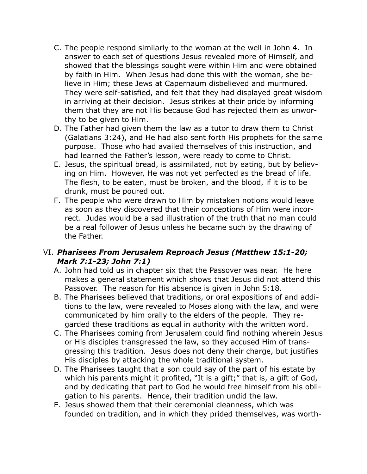- C. The people respond similarly to the woman at the well in John 4. In answer to each set of questions Jesus revealed more of Himself, and showed that the blessings sought were within Him and were obtained by faith in Him. When Jesus had done this with the woman, she believe in Him; these Jews at Capernaum disbelieved and murmured. They were self-satisfied, and felt that they had displayed great wisdom in arriving at their decision. Jesus strikes at their pride by informing them that they are not His because God has rejected them as unworthy to be given to Him.
- D. The Father had given them the law as a tutor to draw them to Christ (Galatians 3:24), and He had also sent forth His prophets for the same purpose. Those who had availed themselves of this instruction, and had learned the Father's lesson, were ready to come to Christ.
- E. Jesus, the spiritual bread, is assimilated, not by eating, but by believing on Him. However, He was not yet perfected as the bread of life. The flesh, to be eaten, must be broken, and the blood, if it is to be drunk, must be poured out.
- F. The people who were drawn to Him by mistaken notions would leave as soon as they discovered that their conceptions of Him were incorrect. Judas would be a sad illustration of the truth that no man could be a real follower of Jesus unless he became such by the drawing of the Father.

## VI. *Pharisees From Jerusalem Reproach Jesus (Matthew 15:1-20; Mark 7:1-23; John 7:1)*

- A. John had told us in chapter six that the Passover was near. He here makes a general statement which shows that Jesus did not attend this Passover. The reason for His absence is given in John 5:18.
- B. The Pharisees believed that traditions, or oral expositions of and additions to the law, were revealed to Moses along with the law, and were communicated by him orally to the elders of the people. They regarded these traditions as equal in authority with the written word.
- C. The Pharisees coming from Jerusalem could find nothing wherein Jesus or His disciples transgressed the law, so they accused Him of transgressing this tradition. Jesus does not deny their charge, but justifies His disciples by attacking the whole traditional system.
- D. The Pharisees taught that a son could say of the part of his estate by which his parents might it profited, "It is a gift;" that is, a gift of God, and by dedicating that part to God he would free himself from his obligation to his parents. Hence, their tradition undid the law.
- E. Jesus showed them that their ceremonial cleanness, which was founded on tradition, and in which they prided themselves, was worth-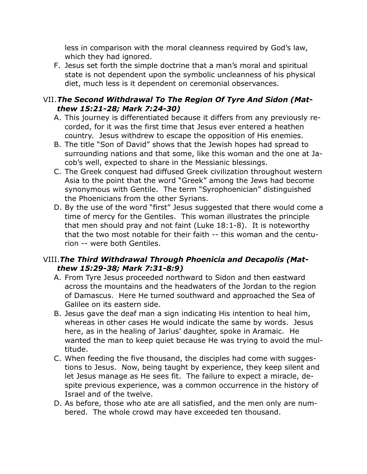less in comparison with the moral cleanness required by God's law, which they had ignored.

F. Jesus set forth the simple doctrine that a man's moral and spiritual state is not dependent upon the symbolic uncleanness of his physical diet, much less is it dependent on ceremonial observances.

# VII.*The Second Withdrawal To The Region Of Tyre And Sidon (Matthew 15:21-28; Mark 7:24-30)*

- A. This journey is differentiated because it differs from any previously recorded, for it was the first time that Jesus ever entered a heathen country. Jesus withdrew to escape the opposition of His enemies.
- B. The title "Son of David" shows that the Jewish hopes had spread to surrounding nations and that some, like this woman and the one at Jacob's well, expected to share in the Messianic blessings.
- C. The Greek conquest had diffused Greek civilization throughout western Asia to the point that the word "Greek" among the Jews had become synonymous with Gentile. The term "Syrophoenician" distinguished the Phoenicians from the other Syrians.
- D. By the use of the word "first" Jesus suggested that there would come a time of mercy for the Gentiles. This woman illustrates the principle that men should pray and not faint (Luke 18:1-8). It is noteworthy that the two most notable for their faith -- this woman and the centurion -- were both Gentiles.

# VIII.*The Third Withdrawal Through Phoenicia and Decapolis (Matthew 15:29-38; Mark 7:31-8:9)*

- A. From Tyre Jesus proceeded northward to Sidon and then eastward across the mountains and the headwaters of the Jordan to the region of Damascus. Here He turned southward and approached the Sea of Galilee on its eastern side.
- B. Jesus gave the deaf man a sign indicating His intention to heal him, whereas in other cases He would indicate the same by words. Jesus here, as in the healing of Jarius' daughter, spoke in Aramaic. He wanted the man to keep quiet because He was trying to avoid the multitude.
- C. When feeding the five thousand, the disciples had come with suggestions to Jesus. Now, being taught by experience, they keep silent and let Jesus manage as He sees fit. The failure to expect a miracle, despite previous experience, was a common occurrence in the history of Israel and of the twelve.
- D. As before, those who ate are all satisfied, and the men only are numbered. The whole crowd may have exceeded ten thousand.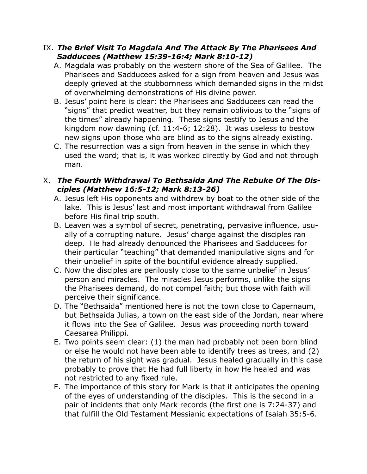#### IX. *The Brief Visit To Magdala And The Attack By The Pharisees And Sadducees (Matthew 15:39-16:4; Mark 8:10-12)*

- A. Magdala was probably on the western shore of the Sea of Galilee. The Pharisees and Sadducees asked for a sign from heaven and Jesus was deeply grieved at the stubbornness which demanded signs in the midst of overwhelming demonstrations of His divine power.
- B. Jesus' point here is clear: the Pharisees and Sadducees can read the "signs" that predict weather, but they remain oblivious to the "signs of the times" already happening. These signs testify to Jesus and the kingdom now dawning (cf. 11:4-6; 12:28). It was useless to bestow new signs upon those who are blind as to the signs already existing.
- C. The resurrection was a sign from heaven in the sense in which they used the word; that is, it was worked directly by God and not through man.

## X. *The Fourth Withdrawal To Bethsaida And The Rebuke Of The Disciples (Matthew 16:5-12; Mark 8:13-26)*

- A. Jesus left His opponents and withdrew by boat to the other side of the lake. This is Jesus' last and most important withdrawal from Galilee before His final trip south.
- B. Leaven was a symbol of secret, penetrating, pervasive influence, usually of a corrupting nature. Jesus' charge against the disciples ran deep. He had already denounced the Pharisees and Sadducees for their particular "teaching" that demanded manipulative signs and for their unbelief in spite of the bountiful evidence already supplied.
- C. Now the disciples are perilously close to the same unbelief in Jesus' person and miracles. The miracles Jesus performs, unlike the signs the Pharisees demand, do not compel faith; but those with faith will perceive their significance.
- D. The "Bethsaida" mentioned here is not the town close to Capernaum, but Bethsaida Julias, a town on the east side of the Jordan, near where it flows into the Sea of Galilee. Jesus was proceeding north toward Caesarea Philippi.
- E. Two points seem clear: (1) the man had probably not been born blind or else he would not have been able to identify trees as trees, and (2) the return of his sight was gradual. Jesus healed gradually in this case probably to prove that He had full liberty in how He healed and was not restricted to any fixed rule.
- F. The importance of this story for Mark is that it anticipates the opening of the eyes of understanding of the disciples. This is the second in a pair of incidents that only Mark records (the first one is 7:24-37) and that fulfill the Old Testament Messianic expectations of Isaiah 35:5-6.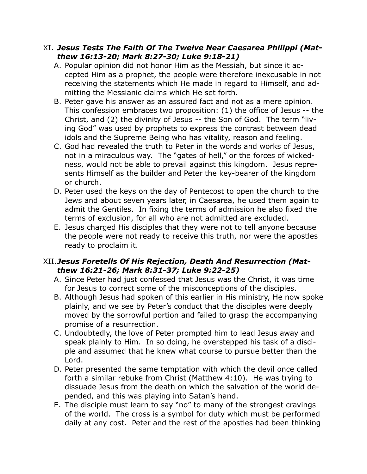#### XI. *Jesus Tests The Faith Of The Twelve Near Caesarea Philippi (Matthew 16:13-20; Mark 8:27-30; Luke 9:18-21)*

- A. Popular opinion did not honor Him as the Messiah, but since it accepted Him as a prophet, the people were therefore inexcusable in not receiving the statements which He made in regard to Himself, and admitting the Messianic claims which He set forth.
- B. Peter gave his answer as an assured fact and not as a mere opinion. This confession embraces two proposition: (1) the office of Jesus -- the Christ, and (2) the divinity of Jesus -- the Son of God. The term "living God" was used by prophets to express the contrast between dead idols and the Supreme Being who has vitality, reason and feeling.
- C. God had revealed the truth to Peter in the words and works of Jesus, not in a miraculous way. The "gates of hell," or the forces of wickedness, would not be able to prevail against this kingdom. Jesus represents Himself as the builder and Peter the key-bearer of the kingdom or church.
- D. Peter used the keys on the day of Pentecost to open the church to the Jews and about seven years later, in Caesarea, he used them again to admit the Gentiles. In fixing the terms of admission he also fixed the terms of exclusion, for all who are not admitted are excluded.
- E. Jesus charged His disciples that they were not to tell anyone because the people were not ready to receive this truth, nor were the apostles ready to proclaim it.

## XII.*Jesus Foretells Of His Rejection, Death And Resurrection (Matthew 16:21-26; Mark 8:31-37; Luke 9:22-25)*

- A. Since Peter had just confessed that Jesus was the Christ, it was time for Jesus to correct some of the misconceptions of the disciples.
- B. Although Jesus had spoken of this earlier in His ministry, He now spoke plainly, and we see by Peter's conduct that the disciples were deeply moved by the sorrowful portion and failed to grasp the accompanying promise of a resurrection.
- C. Undoubtedly, the love of Peter prompted him to lead Jesus away and speak plainly to Him. In so doing, he overstepped his task of a disciple and assumed that he knew what course to pursue better than the Lord.
- D. Peter presented the same temptation with which the devil once called forth a similar rebuke from Christ (Matthew 4:10). He was trying to dissuade Jesus from the death on which the salvation of the world depended, and this was playing into Satan's hand.
- E. The disciple must learn to say "no" to many of the strongest cravings of the world. The cross is a symbol for duty which must be performed daily at any cost. Peter and the rest of the apostles had been thinking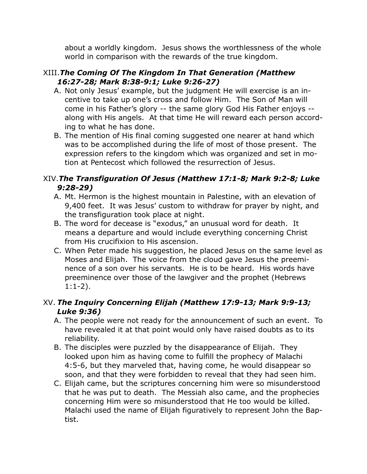about a worldly kingdom. Jesus shows the worthlessness of the whole world in comparison with the rewards of the true kingdom.

#### XIII.*The Coming Of The Kingdom In That Generation (Matthew 16:27-28; Mark 8:38-9:1; Luke 9:26-27)*

- A. Not only Jesus' example, but the judgment He will exercise is an incentive to take up one's cross and follow Him. The Son of Man will come in his Father's glory -- the same glory God His Father enjoys - along with His angels. At that time He will reward each person according to what he has done.
- B. The mention of His final coming suggested one nearer at hand which was to be accomplished during the life of most of those present. The expression refers to the kingdom which was organized and set in motion at Pentecost which followed the resurrection of Jesus.

# XIV.*The Transfiguration Of Jesus (Matthew 17:1-8; Mark 9:2-8; Luke 9:28-29)*

- A. Mt. Hermon is the highest mountain in Palestine, with an elevation of 9,400 feet. It was Jesus' custom to withdraw for prayer by night, and the transfiguration took place at night.
- B. The word for decease is "exodus," an unusual word for death. It means a departure and would include everything concerning Christ from His crucifixion to His ascension.
- C. When Peter made his suggestion, he placed Jesus on the same level as Moses and Elijah. The voice from the cloud gave Jesus the preeminence of a son over his servants. He is to be heard. His words have preeminence over those of the lawgiver and the prophet (Hebrews 1:1-2).

# XV. *The Inquiry Concerning Elijah (Matthew 17:9-13; Mark 9:9-13; Luke 9:36)*

- A. The people were not ready for the announcement of such an event. To have revealed it at that point would only have raised doubts as to its reliability.
- B. The disciples were puzzled by the disappearance of Elijah. They looked upon him as having come to fulfill the prophecy of Malachi 4:5-6, but they marveled that, having come, he would disappear so soon, and that they were forbidden to reveal that they had seen him.
- C. Elijah came, but the scriptures concerning him were so misunderstood that he was put to death. The Messiah also came, and the prophecies concerning Him were so misunderstood that He too would be killed. Malachi used the name of Elijah figuratively to represent John the Baptist.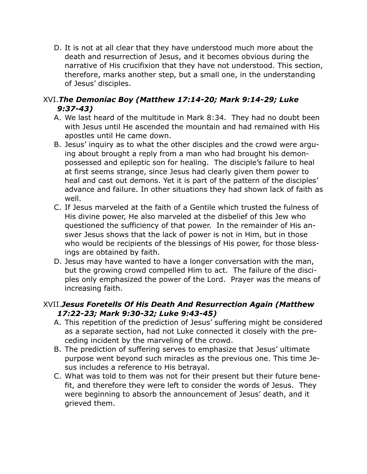D. It is not at all clear that they have understood much more about the death and resurrection of Jesus, and it becomes obvious during the narrative of His crucifixion that they have not understood. This section, therefore, marks another step, but a small one, in the understanding of Jesus' disciples.

# XVI.*The Demoniac Boy (Matthew 17:14-20; Mark 9:14-29; Luke 9:37-43)*

- A. We last heard of the multitude in Mark 8:34. They had no doubt been with Jesus until He ascended the mountain and had remained with His apostles until He came down.
- B. Jesus' inquiry as to what the other disciples and the crowd were arguing about brought a reply from a man who had brought his demonpossessed and epileptic son for healing. The disciple's failure to heal at first seems strange, since Jesus had clearly given them power to heal and cast out demons. Yet it is part of the pattern of the disciples' advance and failure. In other situations they had shown lack of faith as well.
- C. If Jesus marveled at the faith of a Gentile which trusted the fulness of His divine power, He also marveled at the disbelief of this Jew who questioned the sufficiency of that power. In the remainder of His answer Jesus shows that the lack of power is not in Him, but in those who would be recipients of the blessings of His power, for those blessings are obtained by faith.
- D. Jesus may have wanted to have a longer conversation with the man, but the growing crowd compelled Him to act. The failure of the disciples only emphasized the power of the Lord. Prayer was the means of increasing faith.

# XVII.*Jesus Foretells Of His Death And Resurrection Again (Matthew 17:22-23; Mark 9:30-32; Luke 9:43-45)*

- A. This repetition of the prediction of Jesus' suffering might be considered as a separate section, had not Luke connected it closely with the preceding incident by the marveling of the crowd.
- B. The prediction of suffering serves to emphasize that Jesus' ultimate purpose went beyond such miracles as the previous one. This time Jesus includes a reference to His betrayal.
- C. What was told to them was not for their present but their future benefit, and therefore they were left to consider the words of Jesus. They were beginning to absorb the announcement of Jesus' death, and it grieved them.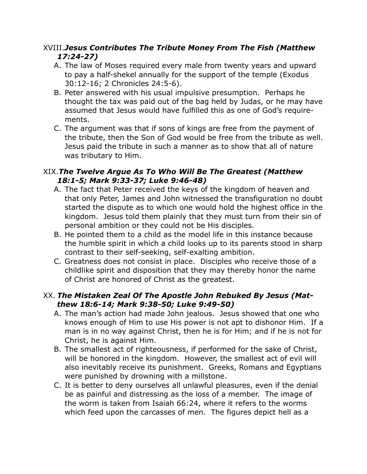# XVIII.*Jesus Contributes The Tribute Money From The Fish (Matthew 17:24-27)*

- A. The law of Moses required every male from twenty years and upward to pay a half-shekel annually for the support of the temple (Exodus 30:12-16; 2 Chronicles 24:5-6).
- B. Peter answered with his usual impulsive presumption. Perhaps he thought the tax was paid out of the bag held by Judas, or he may have assumed that Jesus would have fulfilled this as one of God's requirements.
- C. The argument was that if sons of kings are free from the payment of the tribute, then the Son of God would be free from the tribute as well. Jesus paid the tribute in such a manner as to show that all of nature was tributary to Him.

## XIX.*The Twelve Argue As To Who Will Be The Greatest (Matthew 18:1-5; Mark 9:33-37; Luke 9:46-48)*

- A. The fact that Peter received the keys of the kingdom of heaven and that only Peter, James and John witnessed the transfiguration no doubt started the dispute as to which one would hold the highest office in the kingdom. Jesus told them plainly that they must turn from their sin of personal ambition or they could not be His disciples.
- B. He pointed them to a child as the model life in this instance because the humble spirit in which a child looks up to its parents stood in sharp contrast to their self-seeking, self-exalting ambition.
- C. Greatness does not consist in place. Disciples who receive those of a childlike spirit and disposition that they may thereby honor the name of Christ are honored of Christ as the greatest.

# XX. *The Mistaken Zeal Of The Apostle John Rebuked By Jesus (Matthew 18:6-14; Mark 9:38-50; Luke 9:49-50)*

- A. The man's action had made John jealous. Jesus showed that one who knows enough of Him to use His power is not apt to dishonor Him. If a man is in no way against Christ, then he is for Him; and if he is not for Christ, he is against Him.
- B. The smallest act of righteousness, if performed for the sake of Christ, will be honored in the kingdom. However, the smallest act of evil will also inevitably receive its punishment. Greeks, Romans and Egyptians were punished by drowning with a millstone.
- C. It is better to deny ourselves all unlawful pleasures, even if the denial be as painful and distressing as the loss of a member. The image of the worm is taken from Isaiah 66:24, where it refers to the worms which feed upon the carcasses of men. The figures depict hell as a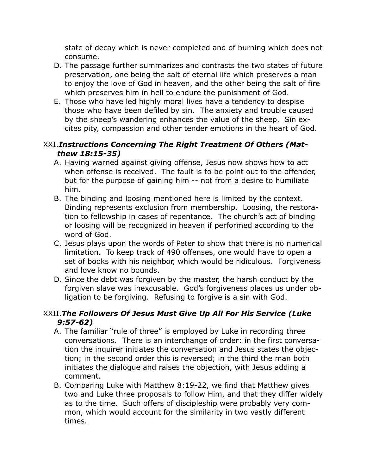state of decay which is never completed and of burning which does not consume.

- D. The passage further summarizes and contrasts the two states of future preservation, one being the salt of eternal life which preserves a man to enjoy the love of God in heaven, and the other being the salt of fire which preserves him in hell to endure the punishment of God.
- E. Those who have led highly moral lives have a tendency to despise those who have been defiled by sin. The anxiety and trouble caused by the sheep's wandering enhances the value of the sheep. Sin excites pity, compassion and other tender emotions in the heart of God.

## XXI.*Instructions Concerning The Right Treatment Of Others (Matthew 18:15-35)*

- A. Having warned against giving offense, Jesus now shows how to act when offense is received. The fault is to be point out to the offender, but for the purpose of gaining him -- not from a desire to humiliate him.
- B. The binding and loosing mentioned here is limited by the context. Binding represents exclusion from membership. Loosing, the restoration to fellowship in cases of repentance. The church's act of binding or loosing will be recognized in heaven if performed according to the word of God.
- C. Jesus plays upon the words of Peter to show that there is no numerical limitation. To keep track of 490 offenses, one would have to open a set of books with his neighbor, which would be ridiculous. Forgiveness and love know no bounds.
- D. Since the debt was forgiven by the master, the harsh conduct by the forgiven slave was inexcusable. God's forgiveness places us under obligation to be forgiving. Refusing to forgive is a sin with God.

# XXII.*The Followers Of Jesus Must Give Up All For His Service (Luke 9:57-62)*

- A. The familiar "rule of three" is employed by Luke in recording three conversations. There is an interchange of order: in the first conversation the inquirer initiates the conversation and Jesus states the objection; in the second order this is reversed; in the third the man both initiates the dialogue and raises the objection, with Jesus adding a comment.
- B. Comparing Luke with Matthew 8:19-22, we find that Matthew gives two and Luke three proposals to follow Him, and that they differ widely as to the time. Such offers of discipleship were probably very common, which would account for the similarity in two vastly different times.